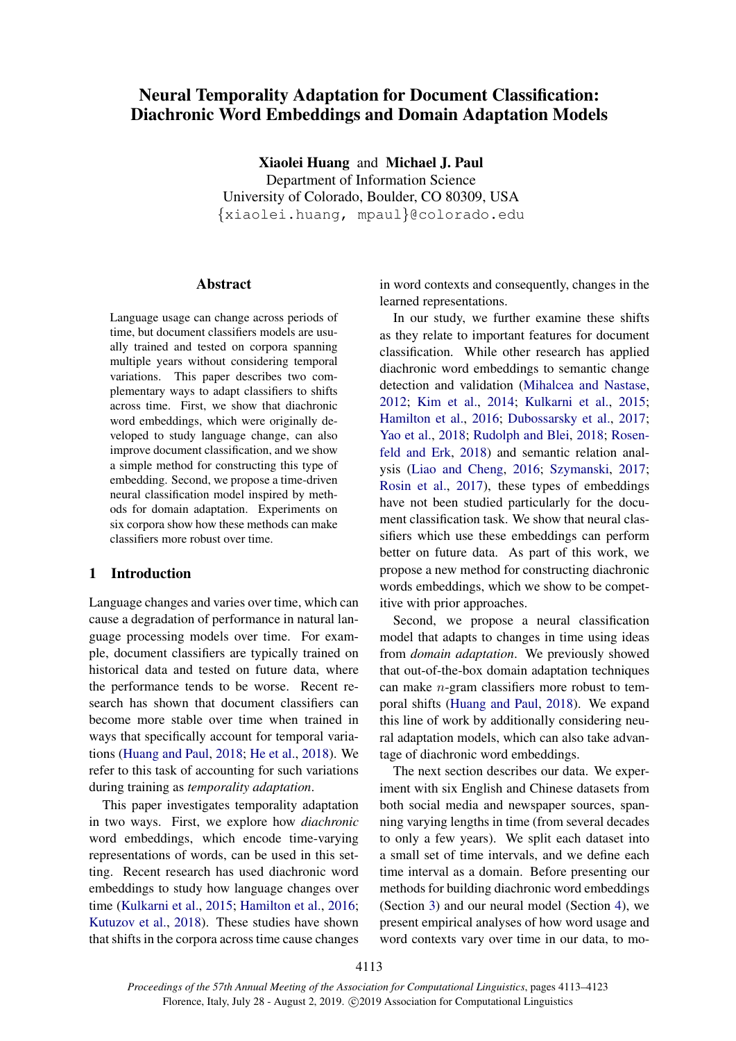# Neural Temporality Adaptation for Document Classification: Diachronic Word Embeddings and Domain Adaptation Models

Xiaolei Huang and Michael J. Paul Department of Information Science University of Colorado, Boulder, CO 80309, USA {xiaolei.huang, mpaul}@colorado.edu

## **Abstract**

Language usage can change across periods of time, but document classifiers models are usually trained and tested on corpora spanning multiple years without considering temporal variations. This paper describes two complementary ways to adapt classifiers to shifts across time. First, we show that diachronic word embeddings, which were originally developed to study language change, can also improve document classification, and we show a simple method for constructing this type of embedding. Second, we propose a time-driven neural classification model inspired by methods for domain adaptation. Experiments on six corpora show how these methods can make classifiers more robust over time.

# 1 Introduction

Language changes and varies over time, which can cause a degradation of performance in natural language processing models over time. For example, document classifiers are typically trained on historical data and tested on future data, where the performance tends to be worse. Recent research has shown that document classifiers can become more stable over time when trained in ways that specifically account for temporal variations [\(Huang and Paul,](#page-9-0) [2018;](#page-9-0) [He et al.,](#page-9-1) [2018\)](#page-9-1). We refer to this task of accounting for such variations during training as *temporality adaptation*.

This paper investigates temporality adaptation in two ways. First, we explore how *diachronic* word embeddings, which encode time-varying representations of words, can be used in this setting. Recent research has used diachronic word embeddings to study how language changes over time [\(Kulkarni et al.,](#page-9-2) [2015;](#page-9-2) [Hamilton et al.,](#page-9-3) [2016;](#page-9-3) [Kutuzov et al.,](#page-9-4) [2018\)](#page-9-4). These studies have shown that shifts in the corpora across time cause changes in word contexts and consequently, changes in the learned representations.

In our study, we further examine these shifts as they relate to important features for document classification. While other research has applied diachronic word embeddings to semantic change detection and validation [\(Mihalcea and Nastase,](#page-9-5) [2012;](#page-9-5) [Kim et al.,](#page-9-6) [2014;](#page-9-6) [Kulkarni et al.,](#page-9-2) [2015;](#page-9-2) [Hamilton et al.,](#page-9-3) [2016;](#page-9-3) [Dubossarsky et al.,](#page-9-7) [2017;](#page-9-7) [Yao et al.,](#page-10-0) [2018;](#page-10-0) [Rudolph and Blei,](#page-10-1) [2018;](#page-10-1) [Rosen](#page-10-2)[feld and Erk,](#page-10-2) [2018\)](#page-10-2) and semantic relation analysis [\(Liao and Cheng,](#page-9-8) [2016;](#page-9-8) [Szymanski,](#page-10-3) [2017;](#page-10-3) [Rosin et al.,](#page-10-4) [2017\)](#page-10-4), these types of embeddings have not been studied particularly for the document classification task. We show that neural classifiers which use these embeddings can perform better on future data. As part of this work, we propose a new method for constructing diachronic words embeddings, which we show to be competitive with prior approaches.

Second, we propose a neural classification model that adapts to changes in time using ideas from *domain adaptation*. We previously showed that out-of-the-box domain adaptation techniques can make n-gram classifiers more robust to temporal shifts [\(Huang and Paul,](#page-9-0) [2018\)](#page-9-0). We expand this line of work by additionally considering neural adaptation models, which can also take advantage of diachronic word embeddings.

The next section describes our data. We experiment with six English and Chinese datasets from both social media and newspaper sources, spanning varying lengths in time (from several decades to only a few years). We split each dataset into a small set of time intervals, and we define each time interval as a domain. Before presenting our methods for building diachronic word embeddings (Section [3\)](#page-2-0) and our neural model (Section [4\)](#page-4-0), we present empirical analyses of how word usage and word contexts vary over time in our data, to mo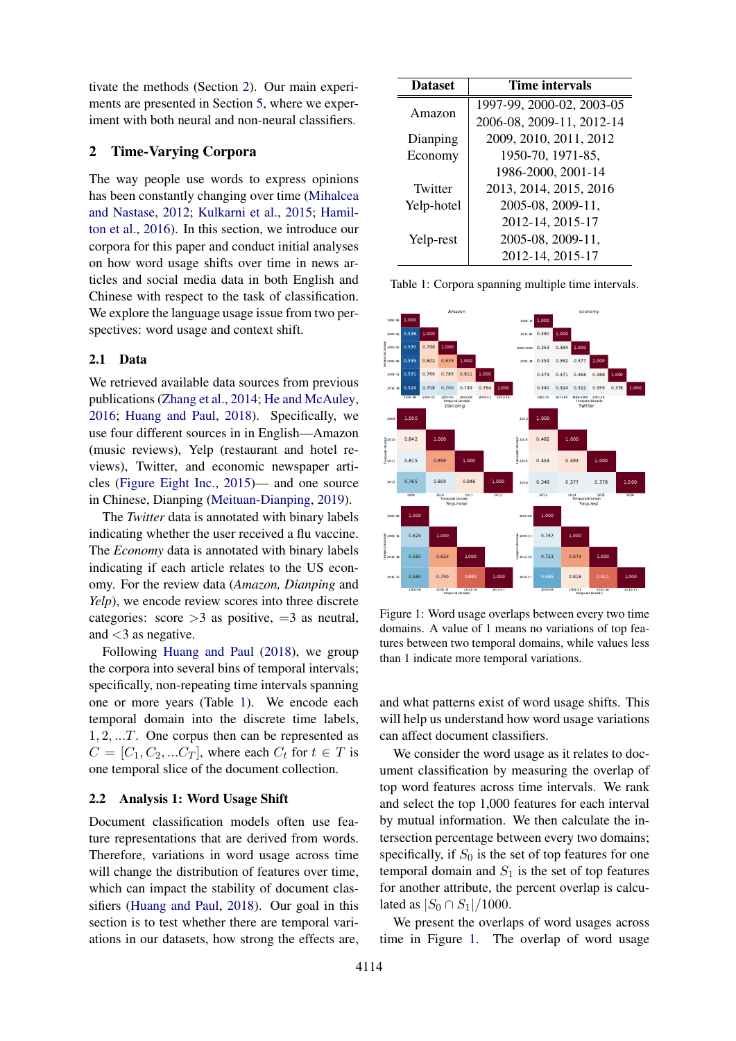tivate the methods (Section [2\)](#page-1-0). Our main experiments are presented in Section [5,](#page-5-0) where we experiment with both neural and non-neural classifiers.

# <span id="page-1-0"></span>2 Time-Varying Corpora

The way people use words to express opinions has been constantly changing over time [\(Mihalcea](#page-9-5) [and Nastase,](#page-9-5) [2012;](#page-9-5) [Kulkarni et al.,](#page-9-2) [2015;](#page-9-2) [Hamil](#page-9-3)[ton et al.,](#page-9-3) [2016\)](#page-9-3). In this section, we introduce our corpora for this paper and conduct initial analyses on how word usage shifts over time in news articles and social media data in both English and Chinese with respect to the task of classification. We explore the language usage issue from two perspectives: word usage and context shift.

#### 2.1 Data

We retrieved available data sources from previous publications [\(Zhang et al.,](#page-10-5) [2014;](#page-10-5) [He and McAuley,](#page-9-9) [2016;](#page-9-9) [Huang and Paul,](#page-9-0) [2018\)](#page-9-0). Specifically, we use four different sources in in English—Amazon (music reviews), Yelp (restaurant and hotel reviews), Twitter, and economic newspaper articles [\(Figure Eight Inc.,](#page-9-10) [2015\)](#page-9-10)— and one source in Chinese, Dianping [\(Meituan-Dianping,](#page-9-11) [2019\)](#page-9-11).

The *Twitter* data is annotated with binary labels indicating whether the user received a flu vaccine. The *Economy* data is annotated with binary labels indicating if each article relates to the US economy. For the review data (*Amazon, Dianping* and *Yelp*), we encode review scores into three discrete categories: score  $>3$  as positive,  $=3$  as neutral, and  $<$ 3 as negative.

Following [Huang and Paul](#page-9-0) [\(2018\)](#page-9-0), we group the corpora into several bins of temporal intervals; specifically, non-repeating time intervals spanning one or more years (Table [1\)](#page-1-1). We encode each temporal domain into the discrete time labels, 1, 2, ...T. One corpus then can be represented as  $C = [C_1, C_2, ... C_T]$ , where each  $C_t$  for  $t \in T$  is one temporal slice of the document collection.

## <span id="page-1-3"></span>2.2 Analysis 1: Word Usage Shift

Document classification models often use feature representations that are derived from words. Therefore, variations in word usage across time will change the distribution of features over time, which can impact the stability of document classifiers [\(Huang and Paul,](#page-9-0) [2018\)](#page-9-0). Our goal in this section is to test whether there are temporal variations in our datasets, how strong the effects are,

<span id="page-1-1"></span>

| <b>Dataset</b> | Time intervals            |  |  |  |  |
|----------------|---------------------------|--|--|--|--|
| Amazon         | 1997-99, 2000-02, 2003-05 |  |  |  |  |
|                | 2006-08, 2009-11, 2012-14 |  |  |  |  |
| Dianping       | 2009, 2010, 2011, 2012    |  |  |  |  |
| Economy        | 1950-70, 1971-85,         |  |  |  |  |
|                | 1986-2000, 2001-14        |  |  |  |  |
| Twitter        | 2013, 2014, 2015, 2016    |  |  |  |  |
| Yelp-hotel     | 2005-08, 2009-11,         |  |  |  |  |
|                | 2012-14, 2015-17          |  |  |  |  |
| Yelp-rest      | 2005-08, 2009-11,         |  |  |  |  |
|                | 2012-14, 2015-17          |  |  |  |  |

<span id="page-1-2"></span>1997-99 2000-02 2003-05 2006-08 2009-11 2012-14 Temporal Domain 1997-99<sub>9</sub> 1.000 2000-02 0.538 1.000 2003-05 0.530 0.798 1.000  $T_{\rm eff}$  2003-05<br> $T_{\rm eff}$  2006-08 1.000 0.539 0.802 0.839 1.000  $0.766$  0.783  $0.700 \quad 0.749$ Amazon 1950-70 1971-85 1986-2000 2001-14 Temporal Domain 1950-70 1971-85 0.380 1.000 1986-2000 0.363 0.384 1.000 0.354  $1986 - 2000$ <br> $- 2001 - 14$ 1.000  $0.382$  0.37  $0.373$  0.371 0.36  $0.340$   $0.324$   $0.322$   $0.359$ Economy 2009 2010 2011 2012 Temporal Domain 2009 1.000  $0.842$ 2011 0.815 0.899 1.000  $0.765$  $\begin{array}{c} \frac{1}{2} & 2010 \\ 0 & 0 \\ 0 & 0 \\ \frac{1}{2} & 2011 \end{array}$ 1.000 0.809 0.848 1.000 Dianping 2013 2014 2015 2016 Temporal Domain 2013 1.000 2014 0.482 1.000  $0.454$  $0.349$  $\begin{bmatrix} 2014 \\ 0 \\ \hline 0 \\ \hline 0 \\ \hline 0 \\ 2015 \end{bmatrix}$  $0.493$  1.000 0.349 0.377 0.378 1.000 Twitter 2006-08 2009-11 2012-14 2015-17 2006-08 1.000 2009-11 0.62<br>2009-11<br>E 2012-14 0.58 2012-14 0.585 0.826 1.000  $0.580$ 0.629 1.000 0.580 0.790 0.880 1.000 Yelp-hotel 2006-08 2009-11 2012-14 2015-17 2006-08 1.000 0.767 2012-14 0.723 0.879 1.000 Temporal Domain<br>Domain<br>Domain<br>Domain  $0.818$  0.911 1.000 Yelp-rest

Table 1: Corpora spanning multiple time intervals.

Figure 1: Word usage overlaps between every two time domains. A value of 1 means no variations of top features between two temporal domains, while values less than 1 indicate more temporal variations.

Temporal Domain

Temporal Domain

and what patterns exist of word usage shifts. This will help us understand how word usage variations can affect document classifiers.

We consider the word usage as it relates to document classification by measuring the overlap of top word features across time intervals. We rank and select the top 1,000 features for each interval by mutual information. We then calculate the intersection percentage between every two domains; specifically, if  $S_0$  is the set of top features for one temporal domain and  $S_1$  is the set of top features for another attribute, the percent overlap is calculated as  $|S_0 \cap S_1|/1000$ .

We present the overlaps of word usages across time in Figure [1.](#page-1-2) The overlap of word usage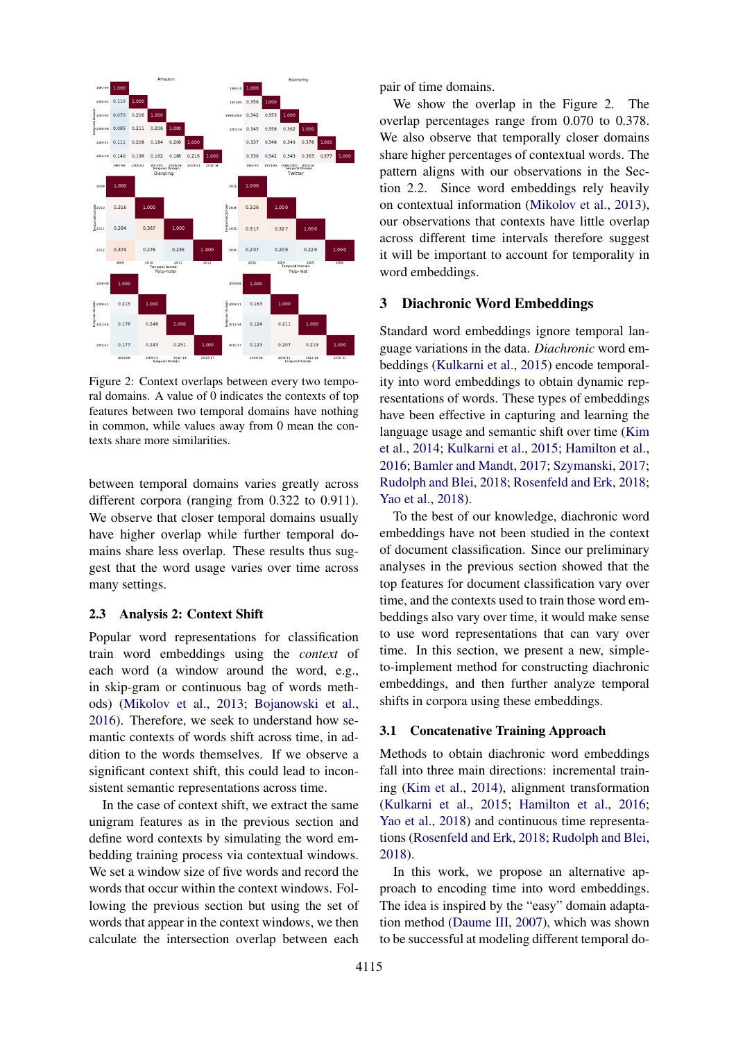<span id="page-2-1"></span>

Figure 2: Context overlaps between every two temporal domains. A value of 0 indicates the contexts of top features between two temporal domains have nothing in common, while values away from 0 mean the contexts share more similarities.

between temporal domains varies greatly across different corpora (ranging from 0.322 to 0.911). We observe that closer temporal domains usually have higher overlap while further temporal domains share less overlap. These results thus suggest that the word usage varies over time across many settings.

#### <span id="page-2-2"></span>2.3 Analysis 2: Context Shift

Popular word representations for classification train word embeddings using the *context* of each word (a window around the word, e.g., in skip-gram or continuous bag of words methods) [\(Mikolov et al.,](#page-9-12) [2013;](#page-9-12) [Bojanowski et al.,](#page-8-0) [2016\)](#page-8-0). Therefore, we seek to understand how semantic contexts of words shift across time, in addition to the words themselves. If we observe a significant context shift, this could lead to inconsistent semantic representations across time.

In the case of context shift, we extract the same unigram features as in the previous section and define word contexts by simulating the word embedding training process via contextual windows. We set a window size of five words and record the words that occur within the context windows. Following the previous section but using the set of words that appear in the context windows, we then calculate the intersection overlap between each

pair of time domains.

We show the overlap in the Figure [2.](#page-2-1) The overlap percentages range from 0.070 to 0.378. We also observe that temporally closer domains share higher percentages of contextual words. The pattern aligns with our observations in the Section [2.2.](#page-1-3) Since word embeddings rely heavily on contextual information [\(Mikolov et al.,](#page-9-12) [2013\)](#page-9-12), our observations that contexts have little overlap across different time intervals therefore suggest it will be important to account for temporality in word embeddings.

## <span id="page-2-0"></span>3 Diachronic Word Embeddings

Standard word embeddings ignore temporal language variations in the data. *Diachronic* word embeddings [\(Kulkarni et al.,](#page-9-2) [2015\)](#page-9-2) encode temporality into word embeddings to obtain dynamic representations of words. These types of embeddings have been effective in capturing and learning the language usage and semantic shift over time [\(Kim](#page-9-6) [et al.,](#page-9-6) [2014;](#page-9-6) [Kulkarni et al.,](#page-9-2) [2015;](#page-9-2) [Hamilton et al.,](#page-9-3) [2016;](#page-9-3) [Bamler and Mandt,](#page-8-1) [2017;](#page-8-1) [Szymanski,](#page-10-3) [2017;](#page-10-3) [Rudolph and Blei,](#page-10-1) [2018;](#page-10-1) [Rosenfeld and Erk,](#page-10-2) [2018;](#page-10-2) [Yao et al.,](#page-10-0) [2018\)](#page-10-0).

To the best of our knowledge, diachronic word embeddings have not been studied in the context of document classification. Since our preliminary analyses in the previous section showed that the top features for document classification vary over time, and the contexts used to train those word embeddings also vary over time, it would make sense to use word representations that can vary over time. In this section, we present a new, simpleto-implement method for constructing diachronic embeddings, and then further analyze temporal shifts in corpora using these embeddings.

#### 3.1 Concatenative Training Approach

Methods to obtain diachronic word embeddings fall into three main directions: incremental training [\(Kim et al.,](#page-9-6) [2014\)](#page-9-6), alignment transformation [\(Kulkarni et al.,](#page-9-2) [2015;](#page-9-2) [Hamilton et al.,](#page-9-3) [2016;](#page-9-3) [Yao et al.,](#page-10-0) [2018\)](#page-10-0) and continuous time representations [\(Rosenfeld and Erk,](#page-10-2) [2018;](#page-10-2) [Rudolph and Blei,](#page-10-1) [2018\)](#page-10-1).

In this work, we propose an alternative approach to encoding time into word embeddings. The idea is inspired by the "easy" domain adaptation method [\(Daume III,](#page-9-13) [2007\)](#page-9-13), which was shown to be successful at modeling different temporal do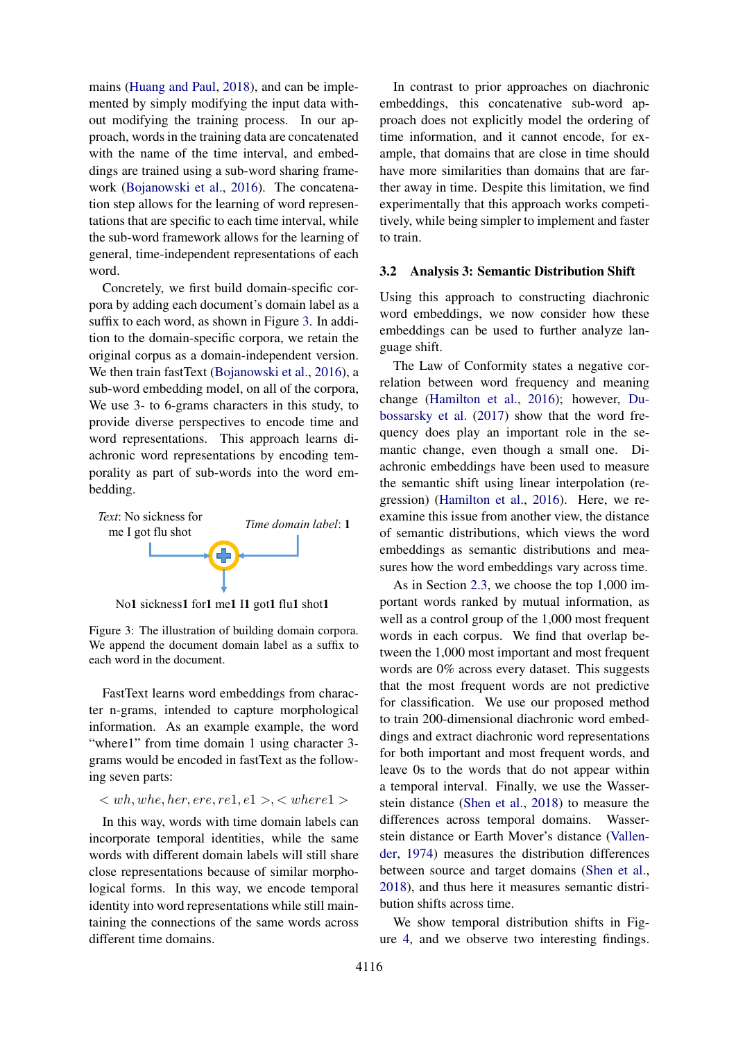mains [\(Huang and Paul,](#page-9-0) [2018\)](#page-9-0), and can be implemented by simply modifying the input data without modifying the training process. In our approach, words in the training data are concatenated with the name of the time interval, and embeddings are trained using a sub-word sharing framework [\(Bojanowski et al.,](#page-8-0) [2016\)](#page-8-0). The concatenation step allows for the learning of word representations that are specific to each time interval, while the sub-word framework allows for the learning of general, time-independent representations of each word.

Concretely, we first build domain-specific corpora by adding each document's domain label as a suffix to each word, as shown in Figure [3.](#page-3-0) In addition to the domain-specific corpora, we retain the original corpus as a domain-independent version. We then train fastText [\(Bojanowski et al.,](#page-8-0) [2016\)](#page-8-0), a sub-word embedding model, on all of the corpora, We use 3- to 6-grams characters in this study, to provide diverse perspectives to encode time and word representations. This approach learns diachronic word representations by encoding temporality as part of sub-words into the word embedding.

<span id="page-3-0"></span>

No**1** sickness**1** for**1** me**1** I**1** got**1** flu**1** shot**1** 

Figure 3: The illustration of building domain corpora. We append the document domain label as a suffix to each word in the document.

FastText learns word embeddings from character n-grams, intended to capture morphological information. As an example example, the word "where1" from time domain 1 using character 3grams would be encoded in fastText as the following seven parts:

$$
, \text{where1}>
$$

In this way, words with time domain labels can incorporate temporal identities, while the same words with different domain labels will still share close representations because of similar morphological forms. In this way, we encode temporal identity into word representations while still maintaining the connections of the same words across different time domains.

In contrast to prior approaches on diachronic embeddings, this concatenative sub-word approach does not explicitly model the ordering of time information, and it cannot encode, for example, that domains that are close in time should have more similarities than domains that are farther away in time. Despite this limitation, we find experimentally that this approach works competitively, while being simpler to implement and faster to train.

#### 3.2 Analysis 3: Semantic Distribution Shift

Using this approach to constructing diachronic word embeddings, we now consider how these embeddings can be used to further analyze language shift.

The Law of Conformity states a negative correlation between word frequency and meaning change [\(Hamilton et al.,](#page-9-3) [2016\)](#page-9-3); however, [Du](#page-9-7)[bossarsky et al.](#page-9-7) [\(2017\)](#page-9-7) show that the word frequency does play an important role in the semantic change, even though a small one. Diachronic embeddings have been used to measure the semantic shift using linear interpolation (regression) [\(Hamilton et al.,](#page-9-3) [2016\)](#page-9-3). Here, we reexamine this issue from another view, the distance of semantic distributions, which views the word embeddings as semantic distributions and measures how the word embeddings vary across time.

As in Section [2.3,](#page-2-2) we choose the top 1,000 important words ranked by mutual information, as well as a control group of the 1,000 most frequent words in each corpus. We find that overlap between the 1,000 most important and most frequent words are 0% across every dataset. This suggests that the most frequent words are not predictive for classification. We use our proposed method to train 200-dimensional diachronic word embeddings and extract diachronic word representations for both important and most frequent words, and leave 0s to the words that do not appear within a temporal interval. Finally, we use the Wasserstein distance [\(Shen et al.,](#page-10-6) [2018\)](#page-10-6) to measure the differences across temporal domains. Wasserstein distance or Earth Mover's distance [\(Vallen](#page-10-7)[der,](#page-10-7) [1974\)](#page-10-7) measures the distribution differences between source and target domains [\(Shen et al.,](#page-10-6) [2018\)](#page-10-6), and thus here it measures semantic distribution shifts across time.

We show temporal distribution shifts in Figure [4,](#page-4-1) and we observe two interesting findings.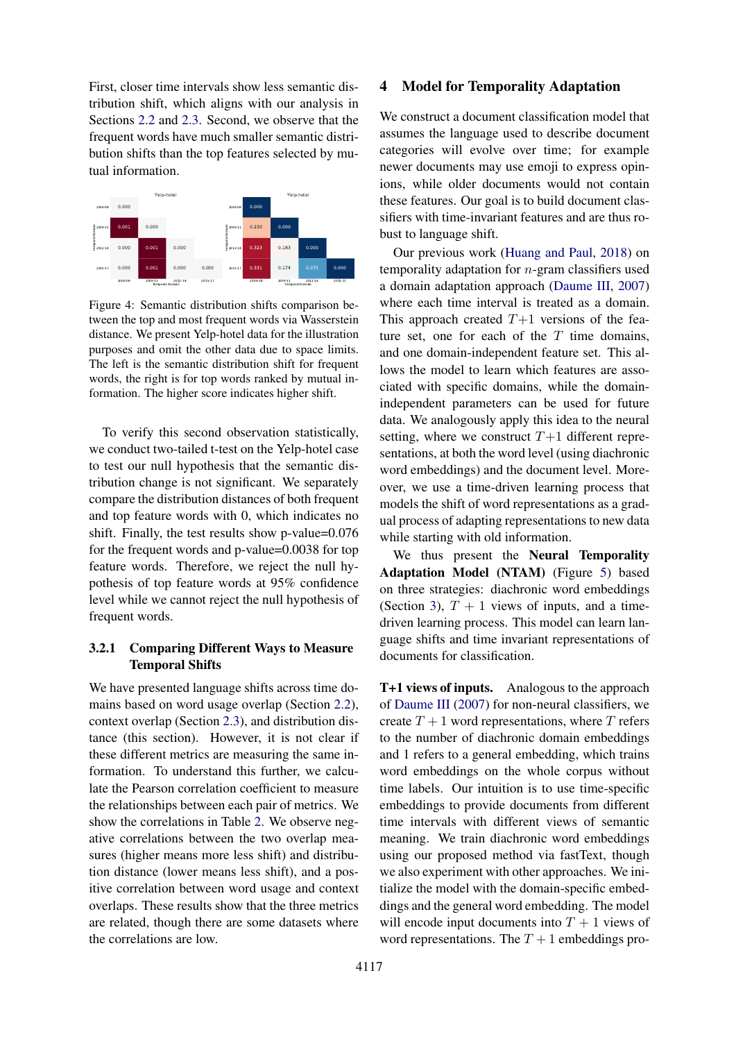First, closer time intervals show less semantic distribution shift, which aligns with our analysis in Sections [2.2](#page-1-3) and [2.3.](#page-2-2) Second, we observe that the frequent words have much smaller semantic distribution shifts than the top features selected by mutual information.

<span id="page-4-1"></span>

Figure 4: Semantic distribution shifts comparison between the top and most frequent words via Wasserstein distance. We present Yelp-hotel data for the illustration purposes and omit the other data due to space limits. The left is the semantic distribution shift for frequent words, the right is for top words ranked by mutual information. The higher score indicates higher shift.

To verify this second observation statistically, we conduct two-tailed t-test on the Yelp-hotel case to test our null hypothesis that the semantic distribution change is not significant. We separately compare the distribution distances of both frequent and top feature words with 0, which indicates no shift. Finally, the test results show p-value=0.076 for the frequent words and p-value=0.0038 for top feature words. Therefore, we reject the null hypothesis of top feature words at 95% confidence level while we cannot reject the null hypothesis of frequent words.

# 3.2.1 Comparing Different Ways to Measure Temporal Shifts

We have presented language shifts across time domains based on word usage overlap (Section [2.2\)](#page-1-3), context overlap (Section [2.3\)](#page-2-2), and distribution distance (this section). However, it is not clear if these different metrics are measuring the same information. To understand this further, we calculate the Pearson correlation coefficient to measure the relationships between each pair of metrics. We show the correlations in Table [2.](#page-5-1) We observe negative correlations between the two overlap measures (higher means more less shift) and distribution distance (lower means less shift), and a positive correlation between word usage and context overlaps. These results show that the three metrics are related, though there are some datasets where the correlations are low.

## <span id="page-4-0"></span>4 Model for Temporality Adaptation

We construct a document classification model that assumes the language used to describe document categories will evolve over time; for example newer documents may use emoji to express opinions, while older documents would not contain these features. Our goal is to build document classifiers with time-invariant features and are thus robust to language shift.

Our previous work [\(Huang and Paul,](#page-9-0) [2018\)](#page-9-0) on temporality adaptation for  $n$ -gram classifiers used a domain adaptation approach [\(Daume III,](#page-9-13) [2007\)](#page-9-13) where each time interval is treated as a domain. This approach created  $T+1$  versions of the feature set, one for each of the  $T$  time domains, and one domain-independent feature set. This allows the model to learn which features are associated with specific domains, while the domainindependent parameters can be used for future data. We analogously apply this idea to the neural setting, where we construct  $T+1$  different representations, at both the word level (using diachronic word embeddings) and the document level. Moreover, we use a time-driven learning process that models the shift of word representations as a gradual process of adapting representations to new data while starting with old information.

We thus present the Neural Temporality Adaptation Model (NTAM) (Figure [5\)](#page-5-2) based on three strategies: diachronic word embeddings (Section [3\)](#page-2-0),  $T + 1$  views of inputs, and a timedriven learning process. This model can learn language shifts and time invariant representations of documents for classification.

T+1 views of inputs. Analogous to the approach of [Daume III](#page-9-13) [\(2007\)](#page-9-13) for non-neural classifiers, we create  $T + 1$  word representations, where T refers to the number of diachronic domain embeddings and 1 refers to a general embedding, which trains word embeddings on the whole corpus without time labels. Our intuition is to use time-specific embeddings to provide documents from different time intervals with different views of semantic meaning. We train diachronic word embeddings using our proposed method via fastText, though we also experiment with other approaches. We initialize the model with the domain-specific embeddings and the general word embedding. The model will encode input documents into  $T + 1$  views of word representations. The  $T + 1$  embeddings pro-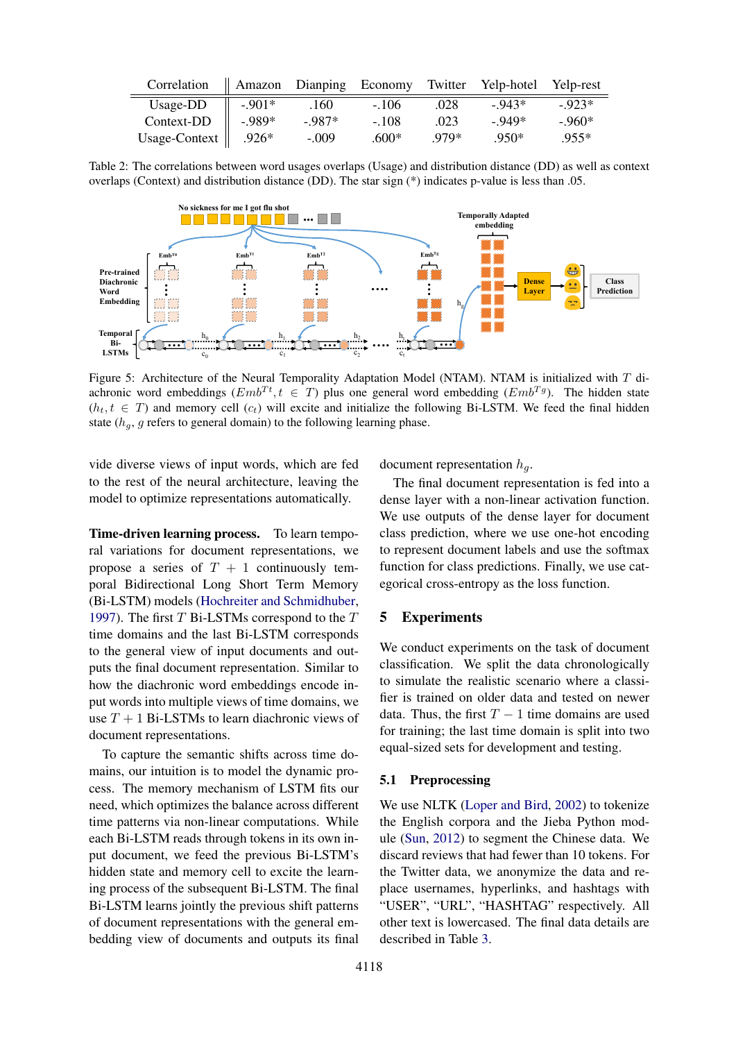<span id="page-5-1"></span>

| Correlation   |         | Amazon Dianping Economy Twitter Yelp-hotel Yelp-rest |         |        |         |         |
|---------------|---------|------------------------------------------------------|---------|--------|---------|---------|
| Usage-DD      | $-901*$ | .160                                                 | $-.106$ | .028   | $-943*$ | $-923*$ |
| Context-DD    | $-989*$ | $-987*$                                              | $-.108$ | .023   | - 949*  | $-960*$ |
| Usage-Context | $.926*$ | $-.009$                                              | $.600*$ | $970*$ | .950*   | $.955*$ |

Table 2: The correlations between word usages overlaps (Usage) and distribution distance (DD) as well as context overlaps (Context) and distribution distance (DD). The star sign (\*) indicates p-value is less than .05.

<span id="page-5-2"></span>

Figure 5: Architecture of the Neural Temporality Adaptation Model (NTAM). NTAM is initialized with T diachronic word embeddings ( $Emb^{Tt}$ ,  $t \in T$ ) plus one general word embedding ( $Emb^{Tg}$ ). The hidden state  $(h_t, t \in T)$  and memory cell  $(c_t)$  will excite and initialize the following Bi-LSTM. We feed the final hidden state  $(h<sub>g</sub>, g$  refers to general domain) to the following learning phase.

vide diverse views of input words, which are fed to the rest of the neural architecture, leaving the model to optimize representations automatically.

Time-driven learning process. To learn temporal variations for document representations, we propose a series of  $T + 1$  continuously temporal Bidirectional Long Short Term Memory (Bi-LSTM) models [\(Hochreiter and Schmidhuber,](#page-9-14) [1997\)](#page-9-14). The first  $T$  Bi-LSTMs correspond to the  $T$ time domains and the last Bi-LSTM corresponds to the general view of input documents and outputs the final document representation. Similar to how the diachronic word embeddings encode input words into multiple views of time domains, we use  $T + 1$  Bi-LSTMs to learn diachronic views of document representations.

To capture the semantic shifts across time domains, our intuition is to model the dynamic process. The memory mechanism of LSTM fits our need, which optimizes the balance across different time patterns via non-linear computations. While each Bi-LSTM reads through tokens in its own input document, we feed the previous Bi-LSTM's hidden state and memory cell to excite the learning process of the subsequent Bi-LSTM. The final Bi-LSTM learns jointly the previous shift patterns of document representations with the general embedding view of documents and outputs its final

document representation  $h_q$ .

The final document representation is fed into a dense layer with a non-linear activation function. We use outputs of the dense layer for document class prediction, where we use one-hot encoding to represent document labels and use the softmax function for class predictions. Finally, we use categorical cross-entropy as the loss function.

## <span id="page-5-0"></span>5 Experiments

We conduct experiments on the task of document classification. We split the data chronologically to simulate the realistic scenario where a classifier is trained on older data and tested on newer data. Thus, the first  $T - 1$  time domains are used for training; the last time domain is split into two equal-sized sets for development and testing.

#### 5.1 Preprocessing

We use NLTK [\(Loper and Bird,](#page-9-15) [2002\)](#page-9-15) to tokenize the English corpora and the Jieba Python module [\(Sun,](#page-10-8) [2012\)](#page-10-8) to segment the Chinese data. We discard reviews that had fewer than 10 tokens. For the Twitter data, we anonymize the data and replace usernames, hyperlinks, and hashtags with "USER", "URL", "HASHTAG" respectively. All other text is lowercased. The final data details are described in Table [3.](#page-6-0)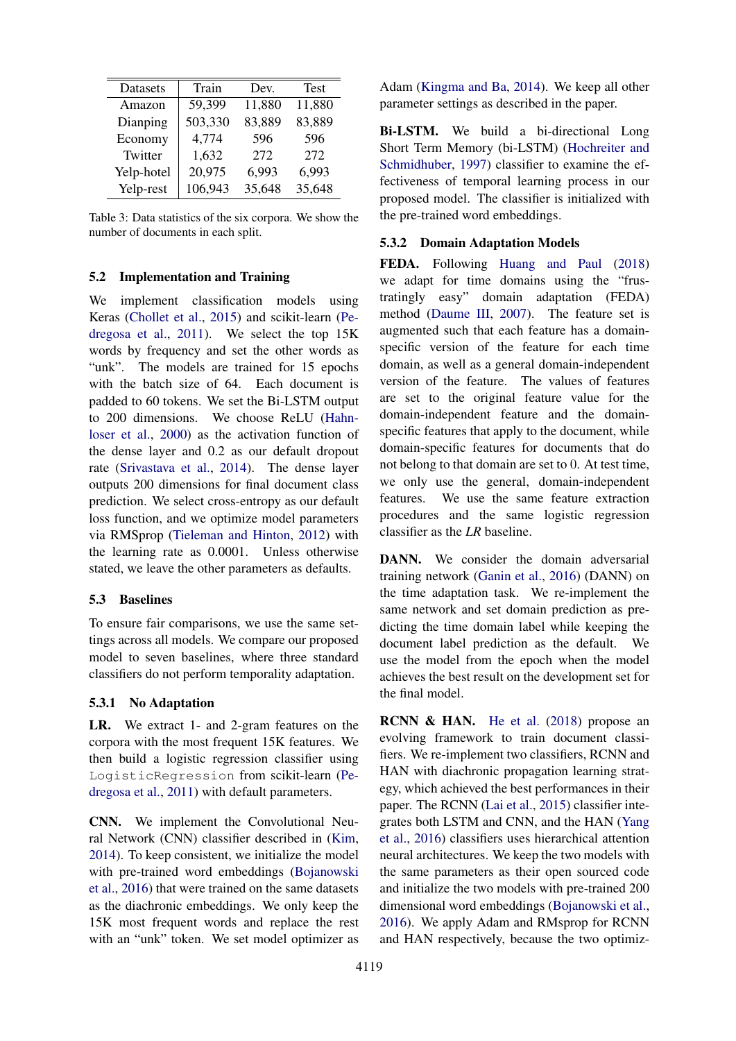<span id="page-6-0"></span>

| Datasets   | Train   | Dev.   | <b>Test</b> |
|------------|---------|--------|-------------|
| Amazon     | 59,399  | 11,880 | 11,880      |
| Dianping   | 503,330 | 83,889 | 83,889      |
| Economy    | 4,774   | 596    | 596         |
| Twitter    | 1,632   | 272    | 272         |
| Yelp-hotel | 20,975  | 6,993  | 6,993       |
| Yelp-rest  | 106,943 | 35,648 | 35,648      |

Table 3: Data statistics of the six corpora. We show the number of documents in each split.

## 5.2 Implementation and Training

We implement classification models using Keras [\(Chollet et al.,](#page-8-2) [2015\)](#page-8-2) and scikit-learn [\(Pe](#page-9-16)[dregosa et al.,](#page-9-16) [2011\)](#page-9-16). We select the top 15K words by frequency and set the other words as "unk". The models are trained for 15 epochs with the batch size of 64. Each document is padded to 60 tokens. We set the Bi-LSTM output to 200 dimensions. We choose ReLU [\(Hahn](#page-9-17)[loser et al.,](#page-9-17) [2000\)](#page-9-17) as the activation function of the dense layer and 0.2 as our default dropout rate [\(Srivastava et al.,](#page-10-9) [2014\)](#page-10-9). The dense layer outputs 200 dimensions for final document class prediction. We select cross-entropy as our default loss function, and we optimize model parameters via RMSprop [\(Tieleman and Hinton,](#page-10-10) [2012\)](#page-10-10) with the learning rate as 0.0001. Unless otherwise stated, we leave the other parameters as defaults.

## 5.3 Baselines

To ensure fair comparisons, we use the same settings across all models. We compare our proposed model to seven baselines, where three standard classifiers do not perform temporality adaptation.

#### 5.3.1 No Adaptation

LR. We extract 1- and 2-gram features on the corpora with the most frequent 15K features. We then build a logistic regression classifier using LogisticRegression from scikit-learn [\(Pe](#page-9-16)[dregosa et al.,](#page-9-16) [2011\)](#page-9-16) with default parameters.

CNN. We implement the Convolutional Neural Network (CNN) classifier described in [\(Kim,](#page-9-18) [2014\)](#page-9-18). To keep consistent, we initialize the model with pre-trained word embeddings [\(Bojanowski](#page-8-0) [et al.,](#page-8-0) [2016\)](#page-8-0) that were trained on the same datasets as the diachronic embeddings. We only keep the 15K most frequent words and replace the rest with an "unk" token. We set model optimizer as

Adam [\(Kingma and Ba,](#page-9-19) [2014\)](#page-9-19). We keep all other parameter settings as described in the paper.

Bi-LSTM. We build a bi-directional Long Short Term Memory (bi-LSTM) [\(Hochreiter and](#page-9-14) [Schmidhuber,](#page-9-14) [1997\)](#page-9-14) classifier to examine the effectiveness of temporal learning process in our proposed model. The classifier is initialized with the pre-trained word embeddings.

# 5.3.2 Domain Adaptation Models

FEDA. Following [Huang and Paul](#page-9-0) [\(2018\)](#page-9-0) we adapt for time domains using the "frustratingly easy" domain adaptation (FEDA) method [\(Daume III,](#page-9-13) [2007\)](#page-9-13). The feature set is augmented such that each feature has a domainspecific version of the feature for each time domain, as well as a general domain-independent version of the feature. The values of features are set to the original feature value for the domain-independent feature and the domainspecific features that apply to the document, while domain-specific features for documents that do not belong to that domain are set to 0. At test time, we only use the general, domain-independent features. We use the same feature extraction procedures and the same logistic regression classifier as the *LR* baseline.

DANN. We consider the domain adversarial training network [\(Ganin et al.,](#page-9-20) [2016\)](#page-9-20) (DANN) on the time adaptation task. We re-implement the same network and set domain prediction as predicting the time domain label while keeping the document label prediction as the default. We use the model from the epoch when the model achieves the best result on the development set for the final model.

RCNN & HAN. [He et al.](#page-9-1) [\(2018\)](#page-9-1) propose an evolving framework to train document classifiers. We re-implement two classifiers, RCNN and HAN with diachronic propagation learning strategy, which achieved the best performances in their paper. The RCNN [\(Lai et al.,](#page-9-21) [2015\)](#page-9-21) classifier integrates both LSTM and CNN, and the HAN [\(Yang](#page-10-11) [et al.,](#page-10-11) [2016\)](#page-10-11) classifiers uses hierarchical attention neural architectures. We keep the two models with the same parameters as their open sourced code and initialize the two models with pre-trained 200 dimensional word embeddings [\(Bojanowski et al.,](#page-8-0) [2016\)](#page-8-0). We apply Adam and RMsprop for RCNN and HAN respectively, because the two optimiz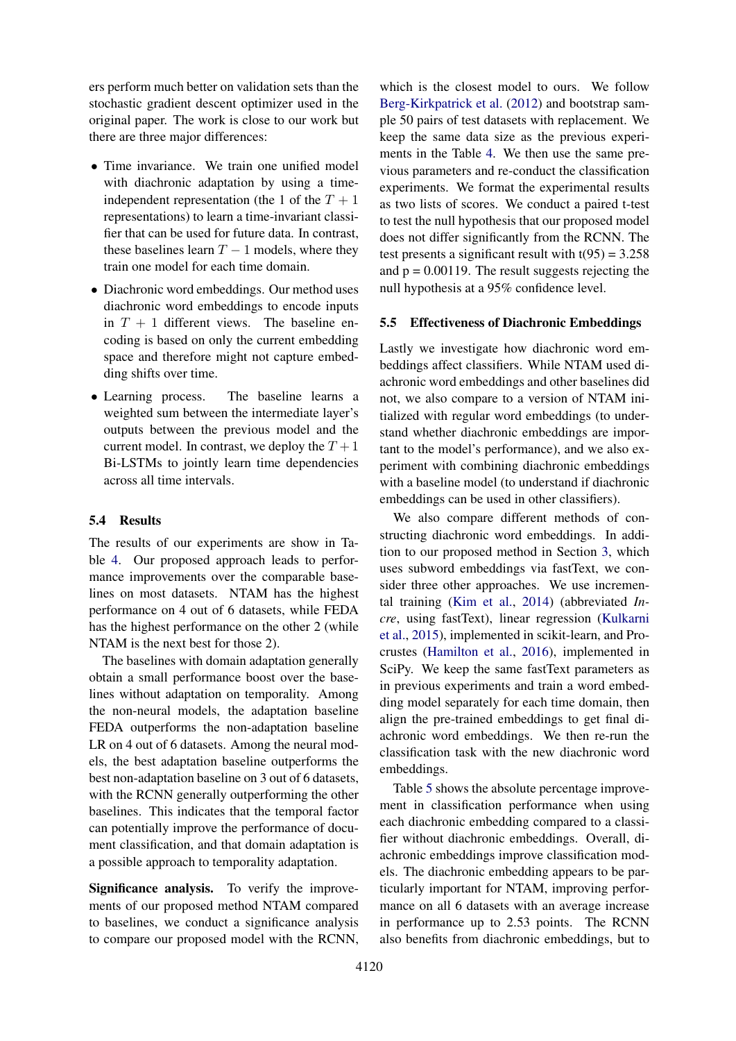ers perform much better on validation sets than the stochastic gradient descent optimizer used in the original paper. The work is close to our work but there are three major differences:

- Time invariance. We train one unified model with diachronic adaptation by using a timeindependent representation (the 1 of the  $T + 1$ representations) to learn a time-invariant classifier that can be used for future data. In contrast, these baselines learn  $T - 1$  models, where they train one model for each time domain.
- Diachronic word embeddings. Our method uses diachronic word embeddings to encode inputs in  $T + 1$  different views. The baseline encoding is based on only the current embedding space and therefore might not capture embedding shifts over time.
- Learning process. The baseline learns a weighted sum between the intermediate layer's outputs between the previous model and the current model. In contrast, we deploy the  $T + 1$ Bi-LSTMs to jointly learn time dependencies across all time intervals.

# 5.4 Results

The results of our experiments are show in Table [4.](#page-8-3) Our proposed approach leads to performance improvements over the comparable baselines on most datasets. NTAM has the highest performance on 4 out of 6 datasets, while FEDA has the highest performance on the other 2 (while NTAM is the next best for those 2).

The baselines with domain adaptation generally obtain a small performance boost over the baselines without adaptation on temporality. Among the non-neural models, the adaptation baseline FEDA outperforms the non-adaptation baseline LR on 4 out of 6 datasets. Among the neural models, the best adaptation baseline outperforms the best non-adaptation baseline on 3 out of 6 datasets, with the RCNN generally outperforming the other baselines. This indicates that the temporal factor can potentially improve the performance of document classification, and that domain adaptation is a possible approach to temporality adaptation.

Significance analysis. To verify the improvements of our proposed method NTAM compared to baselines, we conduct a significance analysis to compare our proposed model with the RCNN,

which is the closest model to ours. We follow [Berg-Kirkpatrick et al.](#page-8-4) [\(2012\)](#page-8-4) and bootstrap sample 50 pairs of test datasets with replacement. We keep the same data size as the previous experiments in the Table [4.](#page-8-3) We then use the same previous parameters and re-conduct the classification experiments. We format the experimental results as two lists of scores. We conduct a paired t-test to test the null hypothesis that our proposed model does not differ significantly from the RCNN. The test presents a significant result with  $t(95) = 3.258$ and  $p = 0.00119$ . The result suggests rejecting the null hypothesis at a 95% confidence level.

#### 5.5 Effectiveness of Diachronic Embeddings

Lastly we investigate how diachronic word embeddings affect classifiers. While NTAM used diachronic word embeddings and other baselines did not, we also compare to a version of NTAM initialized with regular word embeddings (to understand whether diachronic embeddings are important to the model's performance), and we also experiment with combining diachronic embeddings with a baseline model (to understand if diachronic embeddings can be used in other classifiers).

We also compare different methods of constructing diachronic word embeddings. In addition to our proposed method in Section [3,](#page-2-0) which uses subword embeddings via fastText, we consider three other approaches. We use incremental training [\(Kim et al.,](#page-9-6) [2014\)](#page-9-6) (abbreviated *Incre*, using fastText), linear regression [\(Kulkarni](#page-9-2) [et al.,](#page-9-2) [2015\)](#page-9-2), implemented in scikit-learn, and Procrustes [\(Hamilton et al.,](#page-9-3) [2016\)](#page-9-3), implemented in SciPy. We keep the same fastText parameters as in previous experiments and train a word embedding model separately for each time domain, then align the pre-trained embeddings to get final diachronic word embeddings. We then re-run the classification task with the new diachronic word embeddings.

Table [5](#page-8-5) shows the absolute percentage improvement in classification performance when using each diachronic embedding compared to a classifier without diachronic embeddings. Overall, diachronic embeddings improve classification models. The diachronic embedding appears to be particularly important for NTAM, improving performance on all 6 datasets with an average increase in performance up to 2.53 points. The RCNN also benefits from diachronic embeddings, but to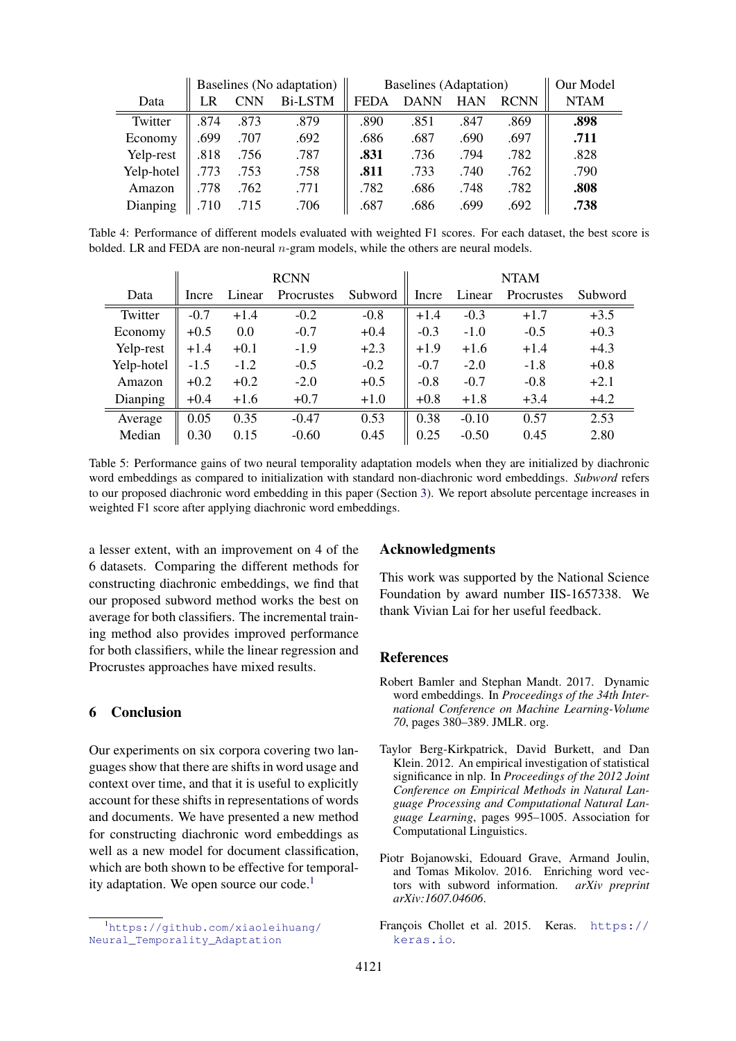<span id="page-8-3"></span>

|            |      |      | Baselines (No adaptation) | <b>Baselines</b> (Adaptation) |             |      |             | Our Model   |
|------------|------|------|---------------------------|-------------------------------|-------------|------|-------------|-------------|
| Data       | LR   | CNN  | <b>Bi-LSTM</b>            | FEDA                          | <b>DANN</b> | HAN  | <b>RCNN</b> | <b>NTAM</b> |
| Twitter    | .874 | .873 | .879                      | .890                          | .851        | .847 | .869        | .898        |
| Economy    | .699 | .707 | .692                      | .686                          | .687        | .690 | .697        | .711        |
| Yelp-rest  | .818 | .756 | .787                      | .831                          | .736        | .794 | .782        | .828        |
| Yelp-hotel | .773 | .753 | .758                      | .811                          | .733        | .740 | .762        | .790        |
| Amazon     | .778 | .762 | .771                      | .782                          | .686        | .748 | .782        | .808        |
| Dianping   | 710  | 715  | .706                      | .687                          | .686        | .699 | .692        | .738        |

Table 4: Performance of different models evaluated with weighted F1 scores. For each dataset, the best score is bolded. LR and FEDA are non-neural  $n$ -gram models, while the others are neural models.

<span id="page-8-5"></span>

|            | <b>RCNN</b> |        |            |         | <b>NTAM</b> |         |            |         |
|------------|-------------|--------|------------|---------|-------------|---------|------------|---------|
| Data       | Incre       | Linear | Procrustes | Subword | Incre       | Linear  | Procrustes | Subword |
| Twitter    | $-0.7$      | $+1.4$ | $-0.2$     | $-0.8$  | $+1.4$      | $-0.3$  | $+1.7$     | $+3.5$  |
| Economy    | $+0.5$      | 0.0    | $-0.7$     | $+0.4$  | $-0.3$      | $-1.0$  | $-0.5$     | $+0.3$  |
| Yelp-rest  | $+1.4$      | $+0.1$ | $-1.9$     | $+2.3$  | $+1.9$      | $+1.6$  | $+1.4$     | $+4.3$  |
| Yelp-hotel | $-1.5$      | $-1.2$ | $-0.5$     | $-0.2$  | $-0.7$      | $-2.0$  | $-1.8$     | $+0.8$  |
| Amazon     | $+0.2$      | $+0.2$ | $-2.0$     | $+0.5$  | $-0.8$      | $-0.7$  | $-0.8$     | $+2.1$  |
| Dianping   | $+0.4$      | $+1.6$ | $+0.7$     | $+1.0$  | $+0.8$      | $+1.8$  | $+3.4$     | $+4.2$  |
| Average    | 0.05        | 0.35   | $-0.47$    | 0.53    | 0.38        | $-0.10$ | 0.57       | 2.53    |
| Median     | 0.30        | 0.15   | $-0.60$    | 0.45    | 0.25        | $-0.50$ | 0.45       | 2.80    |

Table 5: Performance gains of two neural temporality adaptation models when they are initialized by diachronic word embeddings as compared to initialization with standard non-diachronic word embeddings. *Subword* refers to our proposed diachronic word embedding in this paper (Section [3\)](#page-2-0). We report absolute percentage increases in weighted F1 score after applying diachronic word embeddings.

a lesser extent, with an improvement on 4 of the 6 datasets. Comparing the different methods for constructing diachronic embeddings, we find that our proposed subword method works the best on average for both classifiers. The incremental training method also provides improved performance for both classifiers, while the linear regression and Procrustes approaches have mixed results.

# 6 Conclusion

Our experiments on six corpora covering two languages show that there are shifts in word usage and context over time, and that it is useful to explicitly account for these shifts in representations of words and documents. We have presented a new method for constructing diachronic word embeddings as well as a new model for document classification, which are both shown to be effective for temporal-ity adaptation. We open source our code.<sup>[1](#page-8-6)</sup>

## Acknowledgments

This work was supported by the National Science Foundation by award number IIS-1657338. We thank Vivian Lai for her useful feedback.

#### References

- <span id="page-8-1"></span>Robert Bamler and Stephan Mandt. 2017. Dynamic word embeddings. In *Proceedings of the 34th International Conference on Machine Learning-Volume 70*, pages 380–389. JMLR. org.
- <span id="page-8-4"></span>Taylor Berg-Kirkpatrick, David Burkett, and Dan Klein. 2012. An empirical investigation of statistical significance in nlp. In *Proceedings of the 2012 Joint Conference on Empirical Methods in Natural Language Processing and Computational Natural Language Learning*, pages 995–1005. Association for Computational Linguistics.
- <span id="page-8-0"></span>Piotr Bojanowski, Edouard Grave, Armand Joulin, and Tomas Mikolov. 2016. Enriching word vectors with subword information. *arXiv preprint arXiv:1607.04606*.

<span id="page-8-6"></span><sup>1</sup>[https://github.com/xiaoleihuang/](https://github.com/xiaoleihuang/Neural_Temporality_Adaptation) [Neural\\_Temporality\\_Adaptation](https://github.com/xiaoleihuang/Neural_Temporality_Adaptation)

<span id="page-8-2"></span>François Chollet et al. 2015. Keras. [https://](https://keras.io) [keras.io](https://keras.io).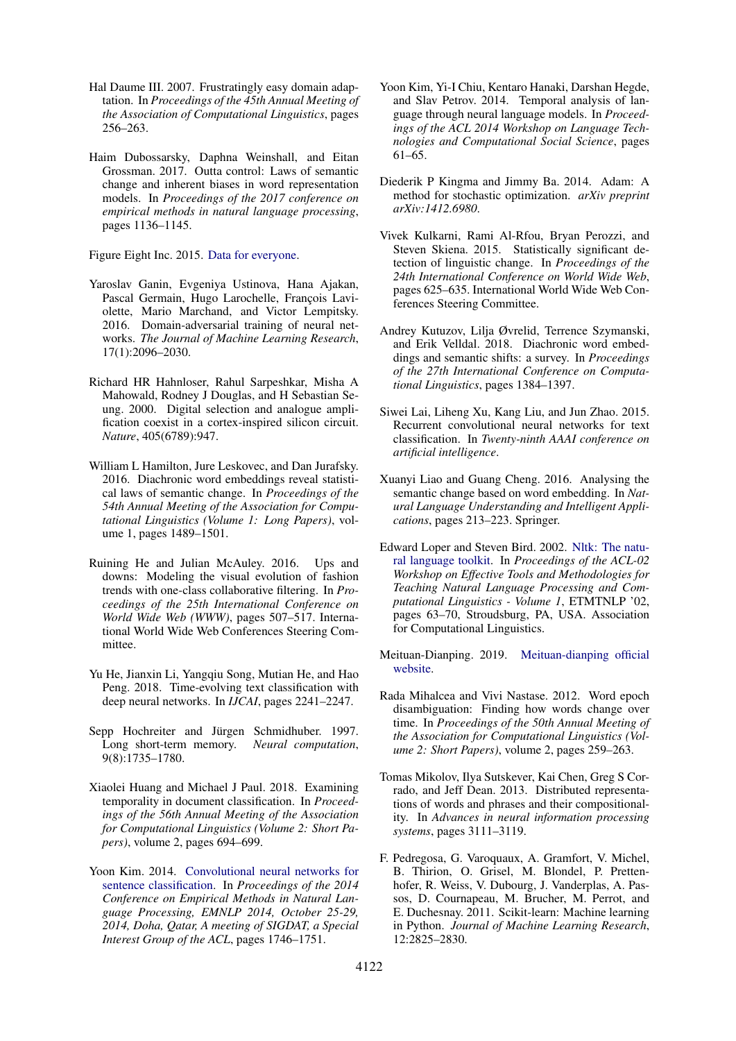- <span id="page-9-13"></span>Hal Daume III. 2007. Frustratingly easy domain adaptation. In *Proceedings of the 45th Annual Meeting of the Association of Computational Linguistics*, pages 256–263.
- <span id="page-9-7"></span>Haim Dubossarsky, Daphna Weinshall, and Eitan Grossman. 2017. Outta control: Laws of semantic change and inherent biases in word representation models. In *Proceedings of the 2017 conference on empirical methods in natural language processing*, pages 1136–1145.

<span id="page-9-10"></span>Figure Eight Inc. 2015. [Data for everyone.](https://www.crowdflower.com/data-for-everyone/)

- <span id="page-9-20"></span>Yaroslav Ganin, Evgeniya Ustinova, Hana Ajakan, Pascal Germain, Hugo Larochelle, François Laviolette, Mario Marchand, and Victor Lempitsky. 2016. Domain-adversarial training of neural networks. *The Journal of Machine Learning Research*, 17(1):2096–2030.
- <span id="page-9-17"></span>Richard HR Hahnloser, Rahul Sarpeshkar, Misha A Mahowald, Rodney J Douglas, and H Sebastian Seung. 2000. Digital selection and analogue amplification coexist in a cortex-inspired silicon circuit. *Nature*, 405(6789):947.
- <span id="page-9-3"></span>William L Hamilton, Jure Leskovec, and Dan Jurafsky. 2016. Diachronic word embeddings reveal statistical laws of semantic change. In *Proceedings of the 54th Annual Meeting of the Association for Computational Linguistics (Volume 1: Long Papers)*, volume 1, pages 1489–1501.
- <span id="page-9-9"></span>Ruining He and Julian McAuley. 2016. Ups and downs: Modeling the visual evolution of fashion trends with one-class collaborative filtering. In *Proceedings of the 25th International Conference on World Wide Web (WWW)*, pages 507–517. International World Wide Web Conferences Steering Committee.
- <span id="page-9-1"></span>Yu He, Jianxin Li, Yangqiu Song, Mutian He, and Hao Peng. 2018. Time-evolving text classification with deep neural networks. In *IJCAI*, pages 2241–2247.
- <span id="page-9-14"></span>Sepp Hochreiter and Jürgen Schmidhuber. 1997. Long short-term memory. *Neural computation*, 9(8):1735–1780.
- <span id="page-9-0"></span>Xiaolei Huang and Michael J Paul. 2018. Examining temporality in document classification. In *Proceedings of the 56th Annual Meeting of the Association for Computational Linguistics (Volume 2: Short Papers)*, volume 2, pages 694–699.
- <span id="page-9-18"></span>Yoon Kim. 2014. [Convolutional neural networks for](http://aclweb.org/anthology/D/D14/D14-1181.pdf) [sentence classification.](http://aclweb.org/anthology/D/D14/D14-1181.pdf) In *Proceedings of the 2014 Conference on Empirical Methods in Natural Language Processing, EMNLP 2014, October 25-29, 2014, Doha, Qatar, A meeting of SIGDAT, a Special Interest Group of the ACL*, pages 1746–1751.
- <span id="page-9-6"></span>Yoon Kim, Yi-I Chiu, Kentaro Hanaki, Darshan Hegde, and Slav Petrov. 2014. Temporal analysis of language through neural language models. In *Proceedings of the ACL 2014 Workshop on Language Technologies and Computational Social Science*, pages 61–65.
- <span id="page-9-19"></span>Diederik P Kingma and Jimmy Ba. 2014. Adam: A method for stochastic optimization. *arXiv preprint arXiv:1412.6980*.
- <span id="page-9-2"></span>Vivek Kulkarni, Rami Al-Rfou, Bryan Perozzi, and Steven Skiena. 2015. Statistically significant detection of linguistic change. In *Proceedings of the 24th International Conference on World Wide Web*, pages 625–635. International World Wide Web Conferences Steering Committee.
- <span id="page-9-4"></span>Andrey Kutuzov, Lilja Øvrelid, Terrence Szymanski, and Erik Velldal. 2018. Diachronic word embeddings and semantic shifts: a survey. In *Proceedings of the 27th International Conference on Computational Linguistics*, pages 1384–1397.
- <span id="page-9-21"></span>Siwei Lai, Liheng Xu, Kang Liu, and Jun Zhao. 2015. Recurrent convolutional neural networks for text classification. In *Twenty-ninth AAAI conference on artificial intelligence*.
- <span id="page-9-8"></span>Xuanyi Liao and Guang Cheng. 2016. Analysing the semantic change based on word embedding. In *Natural Language Understanding and Intelligent Applications*, pages 213–223. Springer.
- <span id="page-9-15"></span>Edward Loper and Steven Bird. 2002. [Nltk: The natu](https://doi.org/10.3115/1118108.1118117)[ral language toolkit.](https://doi.org/10.3115/1118108.1118117) In *Proceedings of the ACL-02 Workshop on Effective Tools and Methodologies for Teaching Natural Language Processing and Computational Linguistics - Volume 1*, ETMTNLP '02, pages 63–70, Stroudsburg, PA, USA. Association for Computational Linguistics.
- <span id="page-9-11"></span>Meituan-Dianping. 2019. [Meituan-dianping official](http://www.dianping.com/citylist) [website.](http://www.dianping.com/citylist)
- <span id="page-9-5"></span>Rada Mihalcea and Vivi Nastase. 2012. Word epoch disambiguation: Finding how words change over time. In *Proceedings of the 50th Annual Meeting of the Association for Computational Linguistics (Volume 2: Short Papers)*, volume 2, pages 259–263.
- <span id="page-9-12"></span>Tomas Mikolov, Ilya Sutskever, Kai Chen, Greg S Corrado, and Jeff Dean. 2013. Distributed representations of words and phrases and their compositionality. In *Advances in neural information processing systems*, pages 3111–3119.
- <span id="page-9-16"></span>F. Pedregosa, G. Varoquaux, A. Gramfort, V. Michel, B. Thirion, O. Grisel, M. Blondel, P. Prettenhofer, R. Weiss, V. Dubourg, J. Vanderplas, A. Passos, D. Cournapeau, M. Brucher, M. Perrot, and E. Duchesnay. 2011. Scikit-learn: Machine learning in Python. *Journal of Machine Learning Research*, 12:2825–2830.